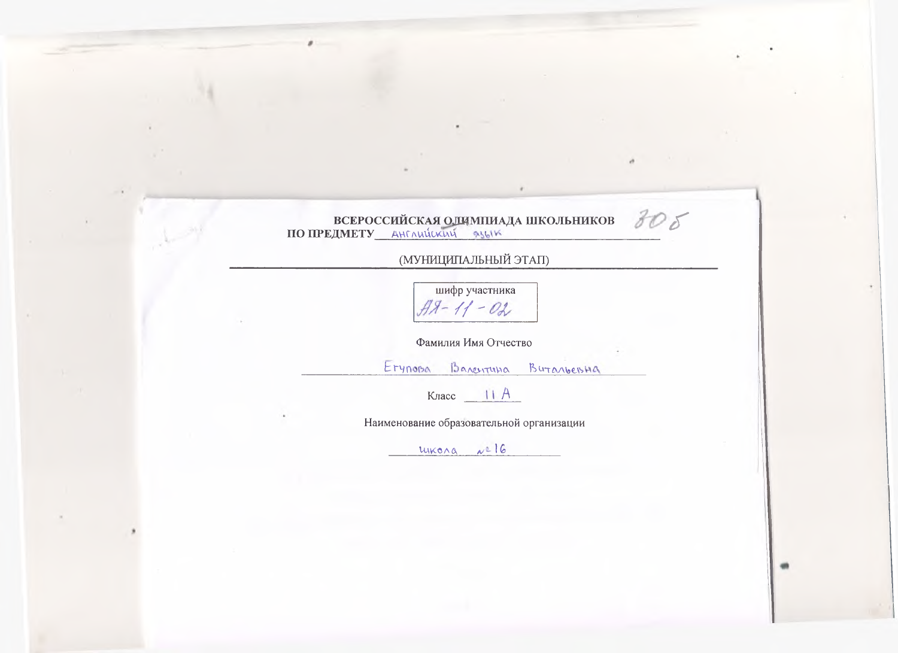## $\begin{array}{r} \textbf{BCEPOCCMÄCKA} \textbf{S} \textbf{O} \textbf{J} \textbf{M} \textbf{M} \textbf{I} \textbf{U} \textbf{A} \textbf{A} \textbf{I} \textbf{I} \textbf{K} \textbf{O} \textbf{I} \textbf{B} \textbf{H} \textbf{U} \textbf{K} \textbf{O} \textbf{B} \\ \textbf{IIO}\textbf{IIPE} \textbf{JMETY\_AHFAWUUVU} \textbf{A} \textbf{M} \textbf{I} \textbf{M} \textbf{M} \textbf{M} \textbf{A} \textbf{I$ 805

(МУНИЦИПАЛЬНЫЙ ЭТАП)

шифр участника  $A1 - 11 - 02$ 

Фамилия Имя Отчество

Erynopa Banerruna Buranbersha

Класс  $11A$ 

Наименование образовательной организации

MKOAQ NL16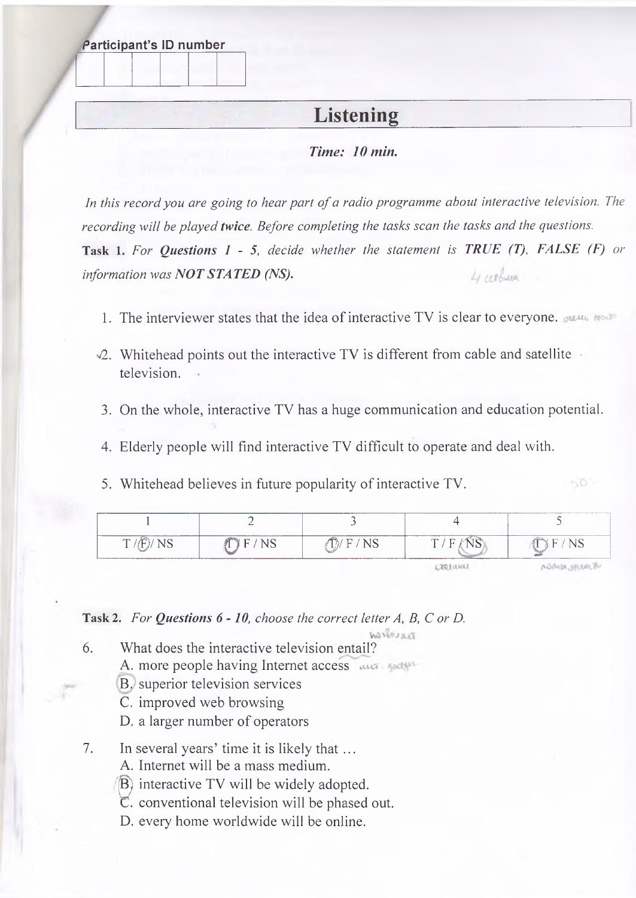# **Listening**

## *Time: 10 min.*

*In this record you are going to hear part of a radio programme about interactive television. The recording will be played twice. Before completing the tasks scan the tasks and the questions.* **Task 1.** *For Questions 1-5, decide whether the statement is TRUE (T), FALSE (E) or* 4 cerbura *information was NOT STATED (NS).*

- 1. The interviewer states that the idea of interactive TV is clear to everyone, *mediation*
- $\sqrt{2}$ . Whitehead points out the interactive TV is different from cable and satellite television.
- 3. On the whole, interactive TV has a huge communication and education potential.
- 4. Elderly people will find interactive TV difficult to operate and deal with.
- 5. Whitehead believes in future popularity of interactive TV.

| T/(f) | <b>NS</b><br>F/ | $\mathbb{T}$ / F / NS |               | <b>NS</b><br>¥Е     |
|-------|-----------------|-----------------------|---------------|---------------------|
|       |                 |                       | <b>ZRICHA</b> | ____<br>MOMMUNICATO |

 $50 -$ 

**Task 2.** *For Questions 6-10, choose the correct letter A, B, C or D.*

- Beechear 6. What does the interactive television entail?
	- A. more people having Internet access *ma*
	- B. superior television services
	- C. improved web browsing

**Participant's ID number** 

**-------**

- D. a larger number of operators
- 7. In several years' time it is likely that ...
	- A. Internet will be a mass medium.
	- **B**) interactive TV will be widely adopted.
	- C. conventional television will be phased out.
	- D. every home worldwide will be online.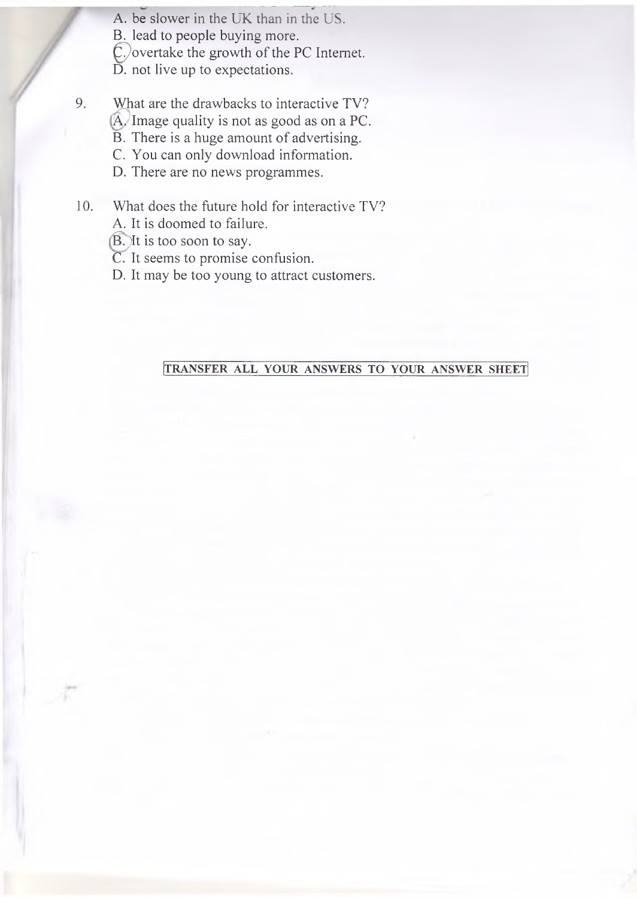A. be slower in the UK than in the US.

B. lead to people buying more,

C. overtake the growth of the PC Internet.

D. not live up to expectations.

- 9. What are the drawbacks to interactive TV?
	- Image quality is not as good as on a PC.
	- B. There is a huge amount of advertising.
	- C. You can only download information.
	- D. There are no news programmes.
- 10. What does the future hold for interactive TV?
	- A. It is doomed to failure.
	- B. It is too soon to say.
	- C. It seems to promise confusion.
	- D. It may be too young to attract customers.

## **TRANSFER ALL YOUR ANSWERS TO YOUR ANSWER SHEET**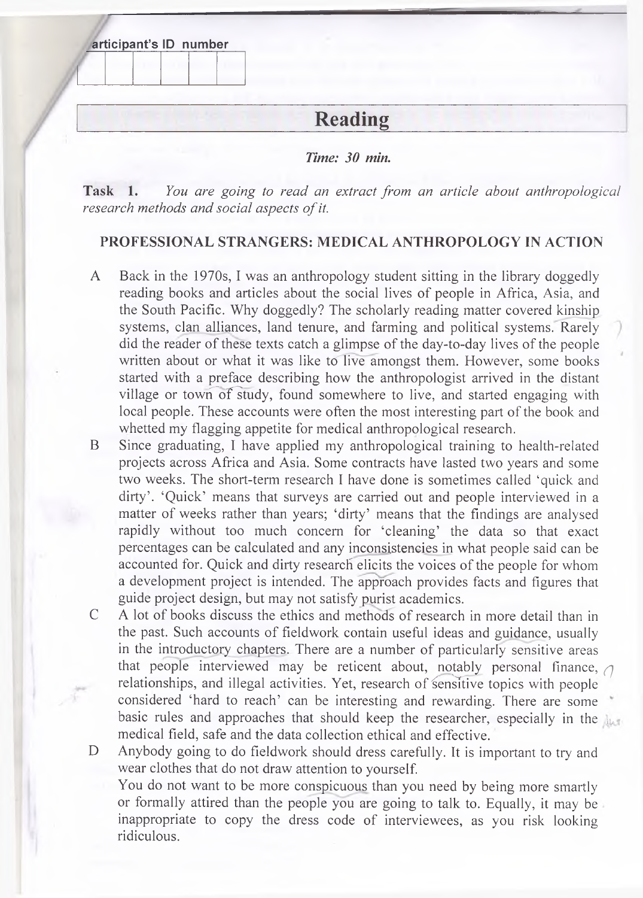articipant's ID number

# **Reading**

### *Time: 30 min.*

**Task 1.** *You are going to read an extract from an article about anthropological research methods and social aspects of it.* 

### **PROFESSIONAL STRANGERS: MEDICAL ANTHROPOLOGY IN ACTION**

- A Back in the 1970s, I was an anthropology student sitting in the library doggedly reading books and articles about the social lives of people in Africa, Asia, and the South Pacific. Why doggedly? The scholarly reading matter covered kinship systems, clan alliances, land tenure, and farming and political systems. Rarely did the reader of these texts catch a glimpse of the day-to-day lives of the people written about or what it was like to live amongst them. However, some books started with a preface describing how the anthropologist arrived in the distant village or town of study, found somewhere to live, and started engaging with local people. These accounts were often the most interesting part of the book and whetted my flagging appetite for medical anthropological research.
- В Since graduating, I have applied my anthropological training to health-related projects across Africa and Asia. Some contracts have lasted two years and some two weeks. The short-term research 1 have done is sometimes called 'quick and dirty'. 'Quick' means that surveys are carried out and people interviewed in a matter of weeks rather than years; 'dirty' means that the findings are analysed rapidly without too much concern for 'cleaning' the data so that exact percentages can be calculated and any inconsistencies in what people said can be accounted for. Quick and dirty research elicits the voices of the people for whom a development project is intended. The approach provides facts and figures that guide project design, but may not satisfy purist academics.
- C A lot of books discuss the ethics and methods of research in more detail than in the past. Such accounts of fieldwork contain useful ideas and guidance, usually in the introductory chapters. There are a number of particularly sensitive areas that people interviewed may be reticent about, notably personal finance,  $\rho$ relationships, and illegal activities. Yet, research of sensitive topics with people considered 'hard to reach' can be interesting and rewarding. There are some basic rules and approaches that should keep the researcher, especially in the *ih*medical field, safe and the data collection ethical and effective.
- D Anybody going to do fieldwork should dress carefully. It is important to try and wear clothes that do not draw attention to yourself
	- You do not want to be more conspicuous than you need by being more smartly or formally attired than the people you are going to talk to. Equally, it may be inappropriate to copy the dress code of interviewees, as you risk looking ridiculous.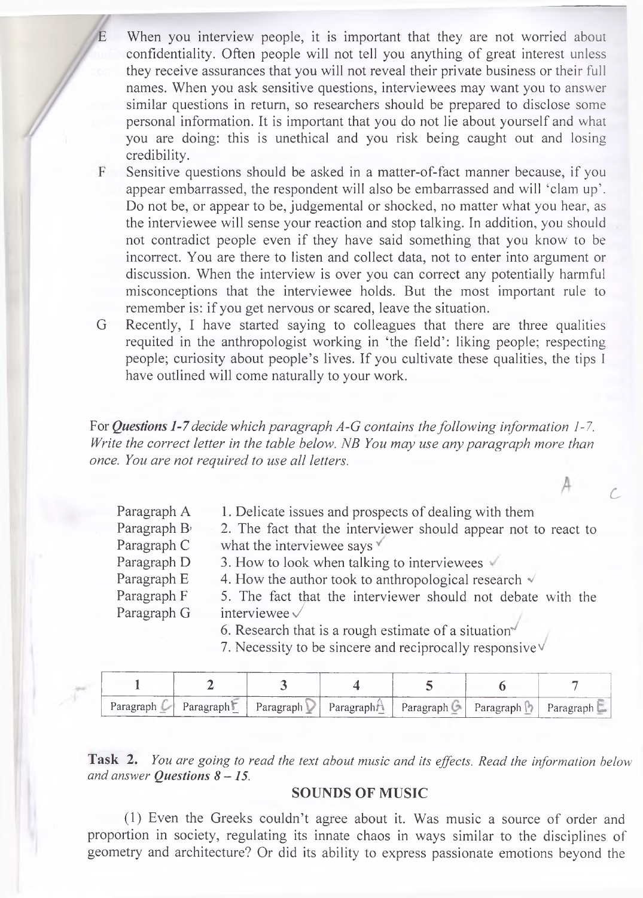When you interview people, it is important that they are not worried about confidentiality. Often people will not tell you anything of great interest unless they receive assurances that you will not reveal their private business or their full names. When you ask sensitive questions, interviewees may want you to answer similar questions in return, so researchers should be prepared to disclose some personal information. It is important that you do not lie about yourself and what you are doing: this is unethical and you risk being caught out and losing credibility.

E

Sensitive questions should be asked in a matter-of-fact manner because, if you  $F$ appear embarrassed, the respondent will also be embarrassed and will 'clam up'. Do not be, or appear to be, judgemental or shocked, no matter what you hear, as the interviewee will sense your reaction and stop talking. In addition, you should not contradict people even if they have said something that you know to be incorrect. You are there to listen and collect data, not to enter into argument or discussion. When the interview is over you can correct any potentially harmful misconceptions that the interviewee holds. But the most important rule to remember is: if you get nervous or scared, leave the situation.

G Recently, I have started saying to colleagues that there are three qualities requited in the anthropologist working in 'the field': liking people; respecting people; curiosity about people's lives. If you cultivate these qualities, the tips 1 have outlined will come naturally to your work.

For *Questions 1-7 decide which paragraph A-G contains the following information 1-7. Write the correct letter in the table below. NB You may use any paragraph more than once. You are not required to use all letters.*

| Paragraph A | 1. Delicate issues and prospects of dealing with them           |
|-------------|-----------------------------------------------------------------|
| Paragraph B | 2. The fact that the interviewer should appear not to react to  |
| Paragraph C | what the interviewee says $\check{v}$                           |
| Paragraph D | 3. How to look when talking to interviewees $\vee$              |
| Paragraph E | 4. How the author took to anthropological research $\checkmark$ |
| Paragraph F | 5. The fact that the interviewer should not debate with the     |
| Paragraph G | interviewee $\sqrt$                                             |
|             | 6. Research that is a rough estimate of a situation $\sqrt{ }$  |
|             |                                                                 |

|  | 7. Necessity to be sincere and reciprocally responsive $\vee$ |  |
|--|---------------------------------------------------------------|--|
|  |                                                               |  |
|  |                                                               |  |

*C*

|  | Paragraph $\Box$ Paragraph | [   Paragraph   Paragraphi   Paragraph   Paragraph   Paragraph |  |  |
|--|----------------------------|----------------------------------------------------------------|--|--|

Task 2. *You are going to read the text about music and its effects. Read the information below and answer Questions 8-15.*

#### SOUNDS OF MUSIC

(1) Even the Greeks couldn't agree about it. Was music a source of order and proportion in society, regulating its innate chaos in ways similar to the disciplines of geometry and architecture? Or did its ability to express passionate emotions beyond the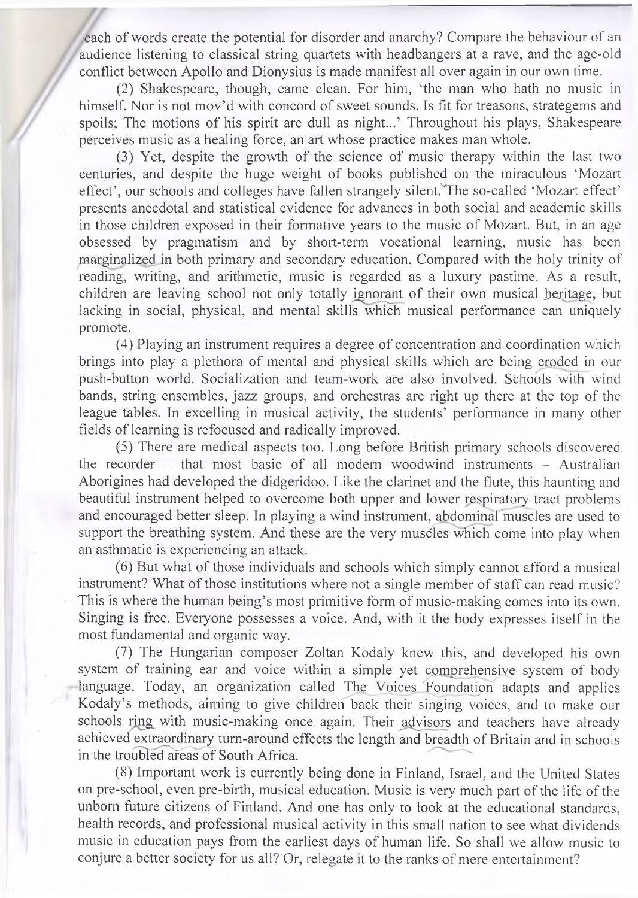each of words create the potential for disorder and anarchy? Compare the behaviour of an audience listening to classical string quartets with headbangers at a rave, and the age-old conflict between Apollo and Dionysius is made manifest all over again in our own time.

(2) Shakespeare, though, came clean. For him, 'the man who hath no music in himself. Nor is not mov'd with concord of sweet sounds. Is fit for treasons, strategems and spoils; The motions of his spirit are dull as night...' Throughout his plays, Shakespeare perceives music as a healing force, an art whose practice makes man whole.

(3) Yet, despite the growth of the science of music therapy within the last two centuries, and despite the huge weight of books published on the miraculous 'Mozart effect', our schools and colleges have fallen strangely silent. The so-called 'Mozart effect' presents anecdotal and statistical evidence for advances in both social and academic skills in those children exposed in their formative years to the music of Mozart. But, in an age obsessed by pragmatism and by short-term vocational learning, music has been marginalized in both primary and secondary education. Compared with the holy trinity of reading, writing, and arithmetic, music is regarded as a luxury pastime. As a result, children are leaving school not only totally ignorant of their own musical heritage, but lacking in social, physical, and mental skills which musical performance can uniquely promote.

(4) Playing an instrument requires a degree of concentration and coordination which brings into play a plethora of mental and physical skills which are being eroded in our push-button world. Socialization and team-work are also involved. Schools with wind bands, string ensembles, jazz groups, and orchestras are right up there at the top of the league tables. In excelling in musical activity, the students' performance in many other fields of learning is refocused and radically improved.

(5) There are medical aspects too. Long before British primary schools discovered the recorder  $-$  that most basic of all modern woodwind instruments  $-$  Australian Aborigines had developed the didgeridoo. Like the clarinet and the flute, this haunting and beautiful instrument helped to overcome both upper and lower respiratory tract problems and encouraged better sleep. In playing a wind instrument, abdominaf muscles are used to support the breathing system. And these are the very muscles which come into play when an asthmatic is experiencing an attack.

(6) But what of those individuals and schools which simply cannot afford a musical instrument? What of those institutions where not a single member of staff can read music? This is where the human being's most primitive form of music-making comes into its own. Singing is free. Everyone possesses a voice. And, with it the body expresses itself in the most fundamental and organic way.

(7) The Hungarian composer Zoltan Kodaly knew this, and developed his own system of training ear and voice within a simple yet comprehensive system of body language. Today, an organization called The Voices Foundation adapts and applies Kodaly's methods, aiming to give children back their singing voices, and to make our schools ring with music-making once again. Their advisors and teachers have already achieved extraordinary turn-around effects the length and breadth of Britain and in schools in the troubled areas of South Africa.

(8) Important work is currently being done in Finland, Israel, and the United States on pre-school, even pre-birth, musical education. Music is very much part of the life of the unborn future citizens of Finland. And one has only to look at the educational standards, health records, and professional musical activity in this small nation to see what dividends music in education pays from the earliest days of human life. So shall we allow music to conjure a better society for us all? Or, relegate it to the ranks of mere entertainment?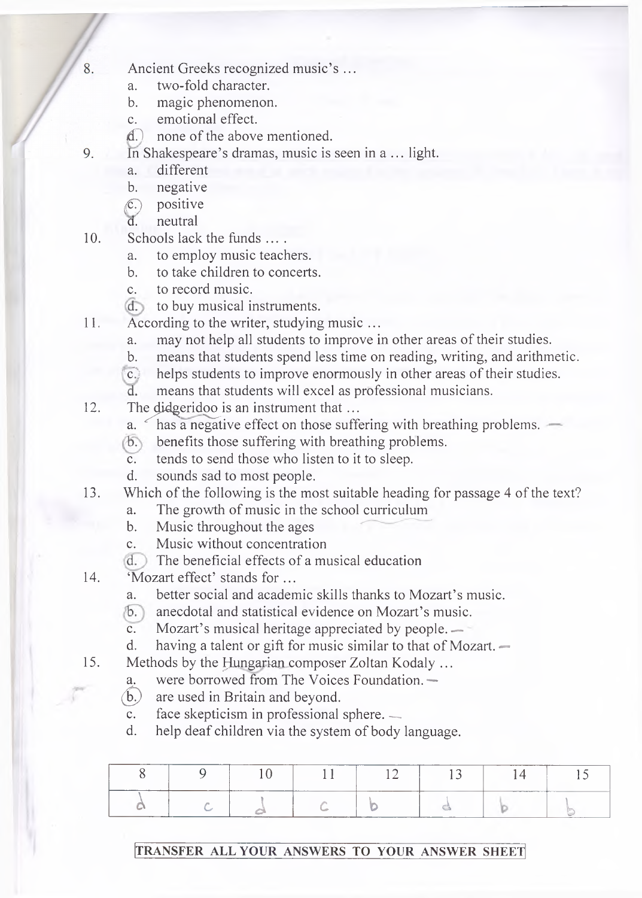- Ancient Greeks recognized music's ...
	- a. two-fold character.
	- b. magic phenomenon.
	- c. emotional effect.
	- Ю none of the above mentioned.
- In Shakespeare's dramas, music is seen in a ... light. 9.
	- a. different
	- b. negative
	- $\circ$  positive
	- d. neutral
- **10**. Schools lack the funds ....
	- a. to employ music teachers.
	- b. to take children to concerts.
	- c. to record music.
	- to buy musical instruments.  $d$ .
- **11,** According to the writer, studying music ...
	- a. may not help all students to improve in other areas of their studies.
	- b. means that students spend less time on reading, writing, and arithmetic.
	- $\overline{c}$  helps students to improve enormously in other areas of their studies.
	- đ. means that students will excel as professional musicians.
- **12**. The didgeridoo is an instrument that  $\dots$ 
	- a.  $\epsilon$  has a negative effect on those suffering with breathing problems.
	- $6.$ benefits those suffering with breathing problems.
	- c. tends to send those who listen to it to sleep.
	- d. sounds sad to most people.
- 13. Which of the following is the most suitable heading for passage 4 of the text?
	- a. The growth of music in the school curriculum
	- b. Music throughout the ages
	- c. Music without concentration
	- The beneficial effects of a musical education
- 14. 'Mozart effect' stands for ...
	- a. better social and academic skills thanks to Mozart's music,
	- anecdotal and statistical evidence on Mozart's music. 1b.)
	- c. Mozart's musical heritage appreciated by people. —
	- d. having a talent or gift for music similar to that of Mozart. —
- 15. Methods by the Hungarian composer Zoltan Kodaly ...
	- a. were borrowed from The Voices Foundation. —
	- $(b.)$  are used in Britain and beyond.
	- c. face skepticism in professional sphere\_\_\_
	- d. help deaf children via the system of body language.

| _______ | _____ | -------<br>____ |  |                                                             |                       |
|---------|-------|-----------------|--|-------------------------------------------------------------|-----------------------|
|         |       |                 |  | the company of the company of the company of the company of | The Contract Services |

## **TRANSFER ALL YOUR ANSWERS TO YOUR ANSWER SHEET**

8.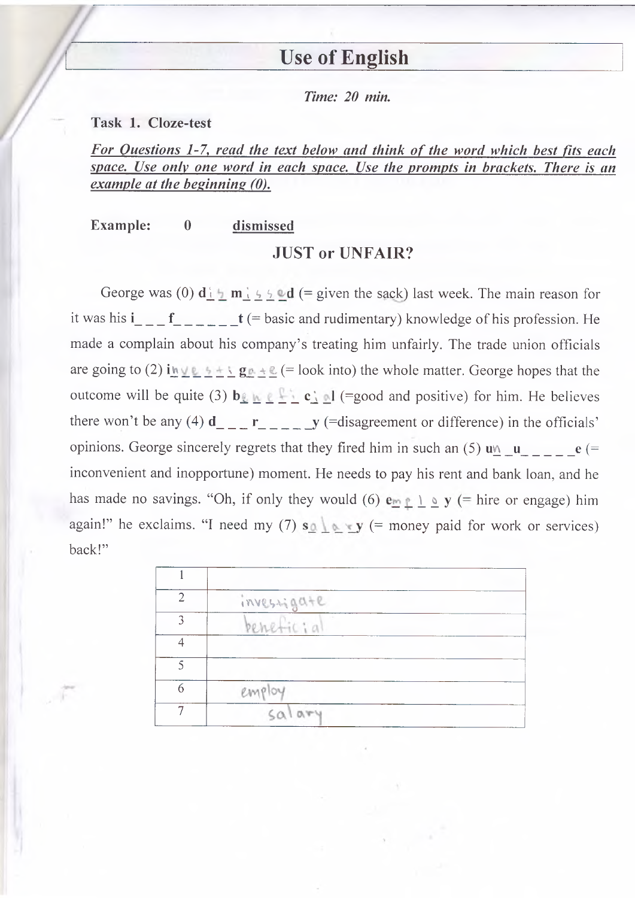# **Use of English**

Time: 20 min.

Task 1. Cloze-test

For Questions 1-7, read the text below and think of the word which best fits each space. Use only one word in each space. Use the prompts in brackets. There is an example at the beginning (0).

**Example:** dismissed  $\bf{0}$ 

### **JUST or UNFAIR?**

George was (0)  $d_1 \underline{b}$  m  $\underline{b}$   $\underline{c}$   $\underline{d}$  (= given the sack) last week. The main reason for it was his  $i_{-}$   $f_{-}$   $f_{-}$   $f_{-}$   $f_{-}$   $f_{-}$  t (= basic and rudimentary) knowledge of his profession. He made a complain about his company's treating him unfairly. The trade union officials are going to (2) in  $\log_2 5 + \log_2 6 = \log_2 6$  (= look into) the whole matter. George hopes that the outcome will be quite (3)  $b_{\underline{v}}$   $\underline{v}$   $\underline{v}$   $\underline{v}$   $\underline{v}$   $\underline{v}$  (=good and positive) for him. He believes there won't be any (4)  $\mathbf{d}_{--}$   $\mathbf{r}_{--}$   $\mathbf{y}$  (=disagreement or difference) in the officials' opinions. George sincerely regrets that they fired him in such an (5)  $\mathbf{u}_{\perp} \mathbf{u}_{\perp} = -\mathbf{e}$  (= inconvenient and inopportune) moment. He needs to pay his rent and bank loan, and he has made no savings. "Oh, if only they would (6)  $e_{\underline{m}} \underline{p} \underline{1} \underline{q}$   $\underline{y}$  (= hire or engage) him again!" he exclaims. "I need my (7)  $s_0$   $\rightarrow$   $s_0$  (= money paid for work or services) back!"

| $\mathcal{D}$ | inversigate |
|---------------|-------------|
| 3             | benetic; al |
|               |             |
|               |             |
| 6             | employ      |
|               | 5010ry      |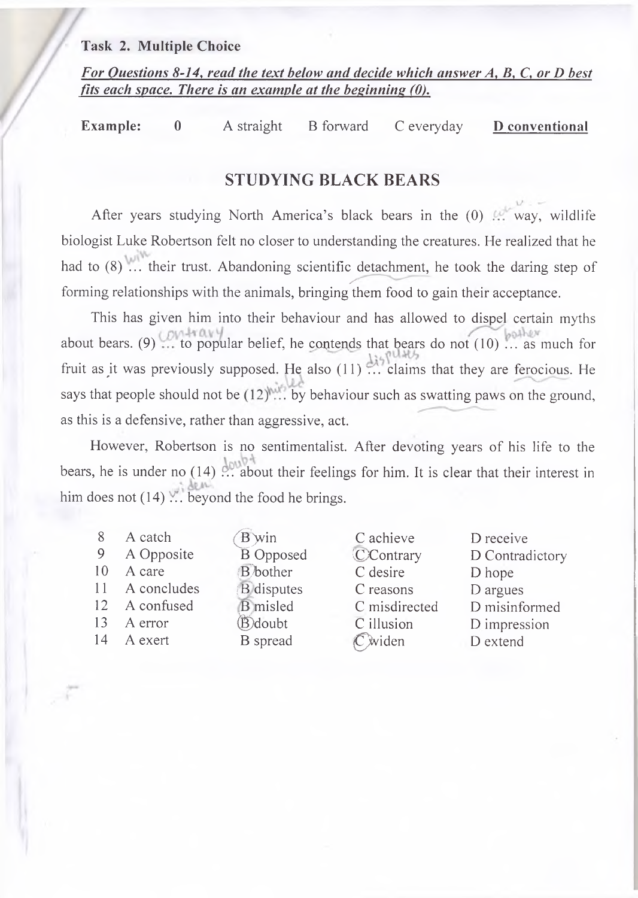**Task 2. Multiple Choice** 

*For Questions 8-14, read the text below and decide which answer A, B, C, or D best fits each space. There is an example at the beginning (0).* 

**Example:** 0 A straight B forward C everyday **D** conventional

### **STUDYING BLACK BEARS**

After years studying North America's black bears in the  $(0)$  way, wildlife biologist Luke Robertson felt no closer to understanding the creatures. He realized that he had to (8) ... their trust. Abandoning scientific detachment, he took the daring step of forming relationships with the animals, bringing them food to gain their acceptance.

This has given him into their behaviour and has allowed to dispel certain myths about bears. (9)  $\ldots$  to popular belief, he contends that bears do not (10)  $\ldots$  as much for fruit as it was previously supposed. He also  $(11)$   $\ldots$  claims that they are ferocious. He says that people should not be  $(12)$ ... by behaviour such as swatting paws on the ground, as this is a defensive, rather than aggressive, act.

However, Robertson is no sentimentalist. After devoting years of his life to the bears, he is under no (14) <sup>22</sup> about their feelings for him. It is clear that their interest in him does not (14)  $\frac{1}{2}$ . beyond the food he brings.

| 8  | A catch        | B win             | C achieve          | D receive       |
|----|----------------|-------------------|--------------------|-----------------|
| 9  | A Opposite     | <b>B</b> Opposed  | CContrary          | D Contradictory |
| 10 | A care         | <b>B</b> bother   | C desire           | D hope          |
|    | 11 A concludes | <b>B</b> disputes | C reasons          | D argues        |
|    | 12 A confused  | <b>B</b> misled   | C misdirected      | D misinformed   |
| 13 | A error        | <b>B</b> )doubt   | C illusion         | D impression    |
|    | 14 A exert     | <b>B</b> spread   | $\mathbb{C}$ widen | D extend        |
|    |                |                   |                    |                 |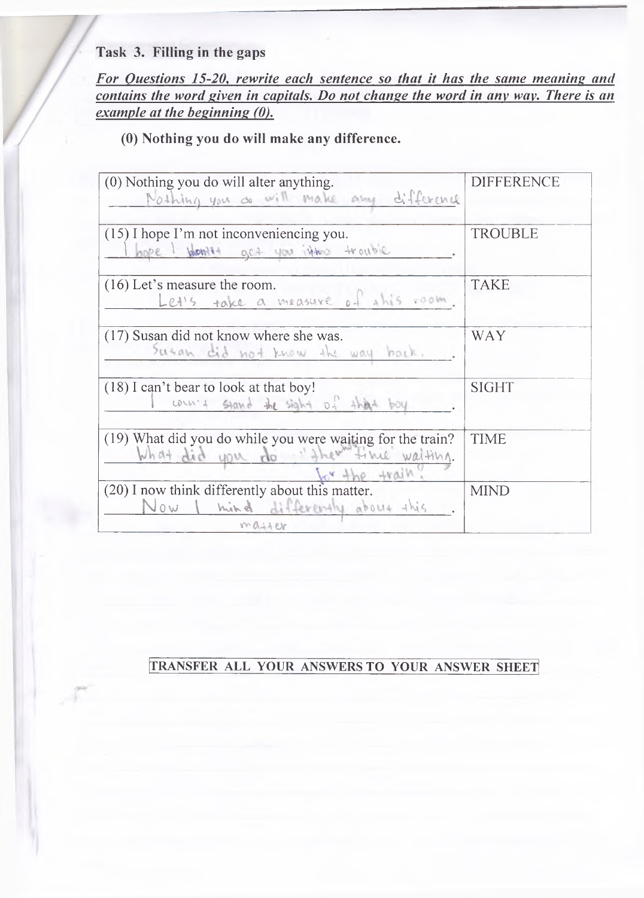Task 3. Filling in the gaps

For Questions 15-20, rewrite each sentence so that it has the same meaning and contains the word given in capitals. Do not change the word in any way. There is an  $example$  at the beginning  $(0)$ .

(0) Nothing you do will make any difference.

| (0) Nothing you do will alter anything.<br>Nothing you do will make any difference                                  | <b>DIFFERENCE</b> |
|---------------------------------------------------------------------------------------------------------------------|-------------------|
| $(15)$ I hope I'm not inconveniencing you.<br>hope bomit get you into trouble                                       | <b>TROUBLE</b>    |
| $(16)$ Let's measure the room.<br>Let's take a measure of this room.                                                | <b>TAKE</b>       |
| (17) Susan did not know where she was.<br>Susan did not know the way back                                           | <b>WAY</b>        |
| (18) I can't bear to look at that boy!<br>win't stand the sight of that boy                                         | <b>SIGHT</b>      |
| (19) What did you do while you were waiting for the train?<br>What did you do "them time waiting.<br>bor the train; | <b>TIME</b>       |
| (20) I now think differently about this matter.<br>Now I mind differently about this.<br>masser                     | <b>MIND</b>       |

## TRANSFER ALL YOUR ANSWERS TO YOUR ANSWER SHEET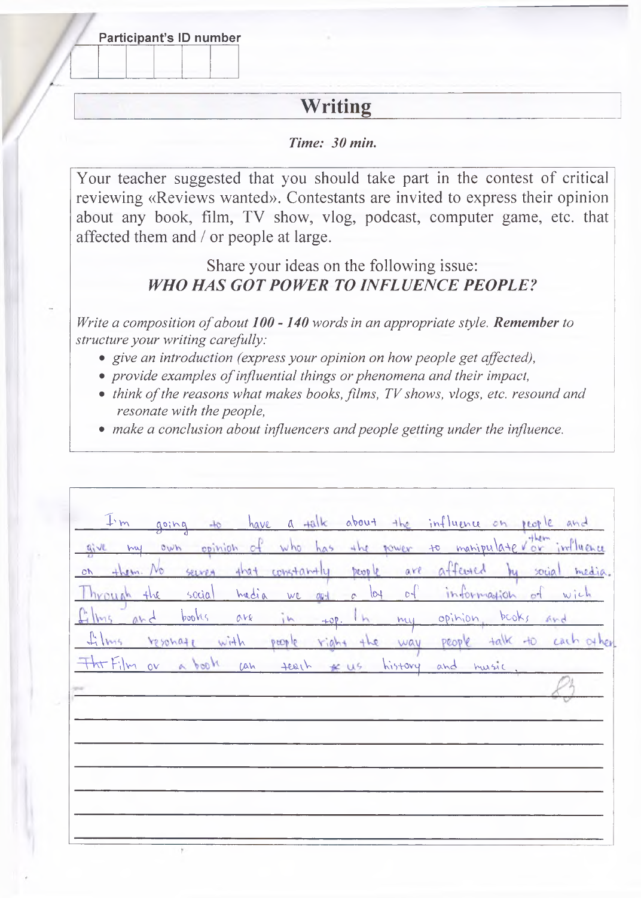Participant's ID number

# Writing

## Time: 30 min.

Your teacher suggested that you should take part in the contest of critical reviewing «Reviews wanted». Contestants are invited to express their opinion about any book, film, TV show, vlog, podcast, computer game, etc. that affected them and / or people at large.

## Share your ideas on the following issue: **WHO HAS GOT POWER TO INFLUENCE PEOPLE?**

Write a composition of about 100 - 140 words in an appropriate style. Remember to structure your writing carefully:

- give an introduction (express your opinion on how people get affected),
- provide examples of influential things or phenomena and their impact,
- think of the reasons what makes books, films, TV shows, vlogs, etc. resound and resonate with the people,
- make a conclusion about influencers and people getting under the influence.

 $\mathbb{1}$ m  $A + a/k$ about the influence on reorle going have and who the intluence  $own$ coinigh has power  $+0$ manipulate vor  $\circ$ afferred **No**  $+na+$ constantly peop le are  $+$ hom. serven **SOLid** media hedia  $\circ \downarrow$  $4h$  $socia$  $\overline{64}$ information  $QQ$ hypush We books ave my  $b \circ \circ k$ s in  $+0P$ opinion  $L$  line cach  $Y850h041$  $M$ people  $+a$ W  $+0$ right the People way ht Film ov a book and history  $lah$  $+e$  $e_{1}$  $K$   $U$ husic